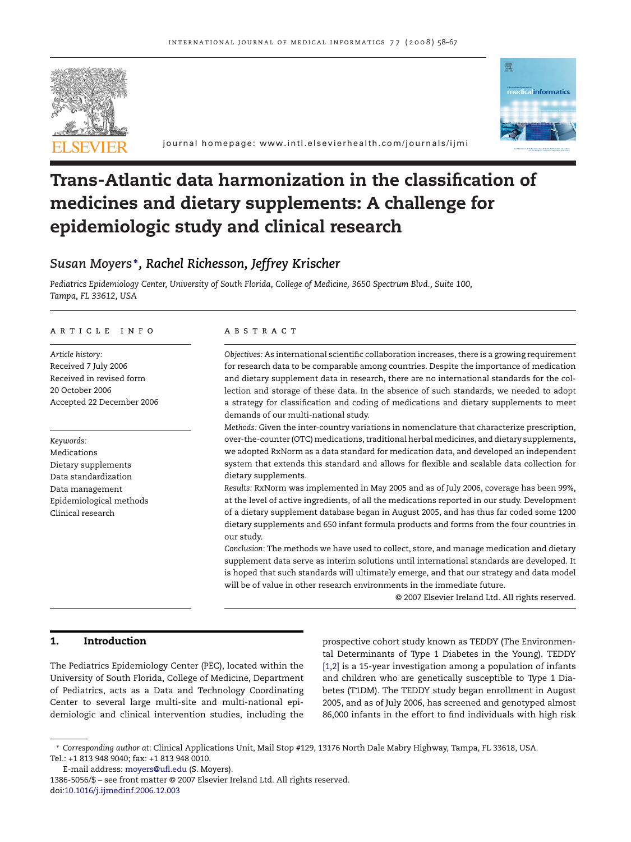



journal homepage: www.intl.elsevierhealth.com/journals/ijmi

# **Trans-Atlantic data harmonization in the classification of medicines and dietary supplements: A challenge for epidemiologic study and clinical research**

# *Susan Moyers* **<sup>∗</sup>***, Rachel Richesson, Jeffrey Krischer*

*Pediatrics Epidemiology Center, University of South Florida, College of Medicine, 3650 Spectrum Blvd., Suite 100, Tampa, FL 33612, USA*

#### article info

*Article history:* Received 7 July 2006 Received in revised form 20 October 2006 Accepted 22 December 2006

*Keywords:* Medications Dietary supplements Data standardization Data management Epidemiological methods Clinical research

### **ABSTRACT**

*Objectives:* As international scientific collaboration increases, there is a growing requirement for research data to be comparable among countries. Despite the importance of medication and dietary supplement data in research, there are no international standards for the collection and storage of these data. In the absence of such standards, we needed to adopt a strategy for classification and coding of medications and dietary supplements to meet demands of our multi-national study.

*Methods:* Given the inter-country variations in nomenclature that characterize prescription, over-the-counter (OTC) medications, traditional herbal medicines, and dietary supplements, we adopted RxNorm as a data standard for medication data, and developed an independent system that extends this standard and allows for flexible and scalable data collection for dietary supplements.

*Results:* RxNorm was implemented in May 2005 and as of July 2006, coverage has been 99%, at the level of active ingredients, of all the medications reported in our study. Development of a dietary supplement database began in August 2005, and has thus far coded some 1200 dietary supplements and 650 infant formula products and forms from the four countries in our study.

*Conclusion:* The methods we have used to collect, store, and manage medication and dietary supplement data serve as interim solutions until international standards are developed. It is hoped that such standards will ultimately emerge, and that our strategy and data model will be of value in other research environments in the immediate future.

© 2007 Elsevier Ireland Ltd. All rights reserved.

## **1. Introduction**

The Pediatrics Epidemiology Center (PEC), located within the University of South Florida, College of Medicine, Department of Pediatrics, acts as a Data and Technology Coordinating Center to several large multi-site and multi-national epidemiologic and clinical intervention studies, including the

prospective cohort study known as TEDDY (The Environmental Determinants of Type 1 Diabetes in the Young). TEDDY [\[1,2\]](#page-8-0) is a 15-year investigation among a population of infants and children who are genetically susceptible to Type 1 Diabetes (T1DM). The TEDDY study began enrollment in August 2005, and as of July 2006, has screened and genotyped almost 86,000 infants in the effort to find individuals with high risk

<sup>∗</sup> *Corresponding author at*: Clinical Applications Unit, Mail Stop #129, 13176 North Dale Mabry Highway, Tampa, FL 33618, USA. Tel.: +1 813 948 9040; fax: +1 813 948 0010.

E-mail address: [moyers@ufl.edu](mailto:moyers@ufl.edu) (S. Moyers).

<sup>1386-5056/\$ –</sup> see front matter © 2007 Elsevier Ireland Ltd. All rights reserved. doi:[10.1016/j.ijmedinf.2006.12.003](dx.doi.org/10.1016/j.ijmedinf.2006.12.003)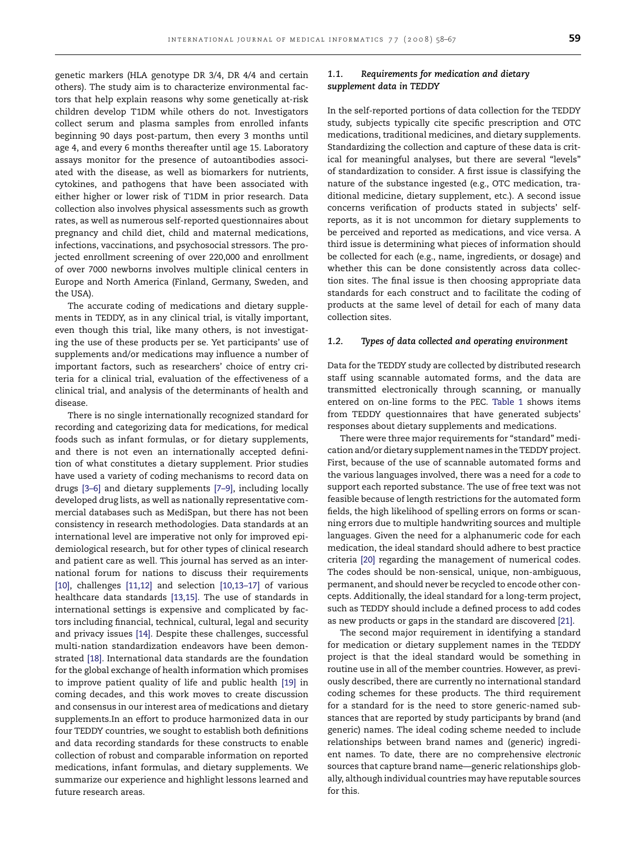genetic markers (HLA genotype DR 3/4, DR 4/4 and certain others). The study aim is to characterize environmental factors that help explain reasons why some genetically at-risk children develop T1DM while others do not. Investigators collect serum and plasma samples from enrolled infants beginning 90 days post-partum, then every 3 months until age 4, and every 6 months thereafter until age 15. Laboratory assays monitor for the presence of autoantibodies associated with the disease, as well as biomarkers for nutrients, cytokines, and pathogens that have been associated with either higher or lower risk of T1DM in prior research. Data collection also involves physical assessments such as growth rates, as well as numerous self-reported questionnaires about pregnancy and child diet, child and maternal medications, infections, vaccinations, and psychosocial stressors. The projected enrollment screening of over 220,000 and enrollment of over 7000 newborns involves multiple clinical centers in Europe and North America (Finland, Germany, Sweden, and the USA).

The accurate coding of medications and dietary supplements in TEDDY, as in any clinical trial, is vitally important, even though this trial, like many others, is not investigating the use of these products per se. Yet participants' use of supplements and/or medications may influence a number of important factors, such as researchers' choice of entry criteria for a clinical trial, evaluation of the effectiveness of a clinical trial, and analysis of the determinants of health and disease.

There is no single internationally recognized standard for recording and categorizing data for medications, for medical foods such as infant formulas, or for dietary supplements, and there is not even an internationally accepted definition of what constitutes a dietary supplement. Prior studies have used a variety of coding mechanisms to record data on drugs [\[3–6\]](#page-8-0) and dietary supplements [\[7–9\],](#page-8-0) including locally developed drug lists, as well as nationally representative commercial databases such as MediSpan, but there has not been consistency in research methodologies. Data standards at an international level are imperative not only for improved epidemiological research, but for other types of clinical research and patient care as well. This journal has served as an international forum for nations to discuss their requirements [\[10\],](#page-8-0) challenges [\[11,12\]](#page-8-0) and selection [10,13-17] of various healthcare data standards [\[13,15\].](#page-8-0) The use of standards in international settings is expensive and complicated by factors including financial, technical, cultural, legal and security and privacy issues [\[14\].](#page-8-0) Despite these challenges, successful multi-nation standardization endeavors have been demonstrated [\[18\].](#page-8-0) International data standards are the foundation for the global exchange of health information which promises to improve patient quality of life and public health [\[19\]](#page-8-0) in coming decades, and this work moves to create discussion and consensus in our interest area of medications and dietary supplements.In an effort to produce harmonized data in our four TEDDY countries, we sought to establish both definitions and data recording standards for these constructs to enable collection of robust and comparable information on reported medications, infant formulas, and dietary supplements. We summarize our experience and highlight lessons learned and future research areas.

## *1.1. Requirements for medication and dietary supplement data in TEDDY*

In the self-reported portions of data collection for the TEDDY study, subjects typically cite specific prescription and OTC medications, traditional medicines, and dietary supplements. Standardizing the collection and capture of these data is critical for meaningful analyses, but there are several "levels" of standardization to consider. A first issue is classifying the nature of the substance ingested (e.g., OTC medication, traditional medicine, dietary supplement, etc.). A second issue concerns verification of products stated in subjects' selfreports, as it is not uncommon for dietary supplements to be perceived and reported as medications, and vice versa. A third issue is determining what pieces of information should be collected for each (e.g., name, ingredients, or dosage) and whether this can be done consistently across data collection sites. The final issue is then choosing appropriate data standards for each construct and to facilitate the coding of products at the same level of detail for each of many data collection sites.

#### *1.2. Types of data collected and operating environment*

Data for the TEDDY study are collected by distributed research staff using scannable automated forms, and the data are transmitted electronically through scanning, or manually entered on on-line forms to the PEC. [Table 1](#page-2-0) shows items from TEDDY questionnaires that have generated subjects' responses about dietary supplements and medications.

There were three major requirements for "standard" medication and/or dietary supplement names in the TEDDY project. First, because of the use of scannable automated forms and the various languages involved, there was a need for a *code* to support each reported substance. The use of free text was not feasible because of length restrictions for the automated form fields, the high likelihood of spelling errors on forms or scanning errors due to multiple handwriting sources and multiple languages. Given the need for a alphanumeric code for each medication, the ideal standard should adhere to best practice criteria [\[20\]](#page-8-0) regarding the management of numerical codes. The codes should be non-sensical, unique, non-ambiguous, permanent, and should never be recycled to encode other concepts. Additionally, the ideal standard for a long-term project, such as TEDDY should include a defined process to add codes as new products or gaps in the standard are discovered [\[21\].](#page-8-0)

The second major requirement in identifying a standard for medication or dietary supplement names in the TEDDY project is that the ideal standard would be something in routine use in all of the member countries. However, as previously described, there are currently no international standard coding schemes for these products. The third requirement for a standard for is the need to store generic-named substances that are reported by study participants by brand (and generic) names. The ideal coding scheme needed to include relationships between brand names and (generic) ingredient names. To date, there are no comprehensive *electronic* sources that capture brand name—generic relationships globally, although individual countries may have reputable sources for this.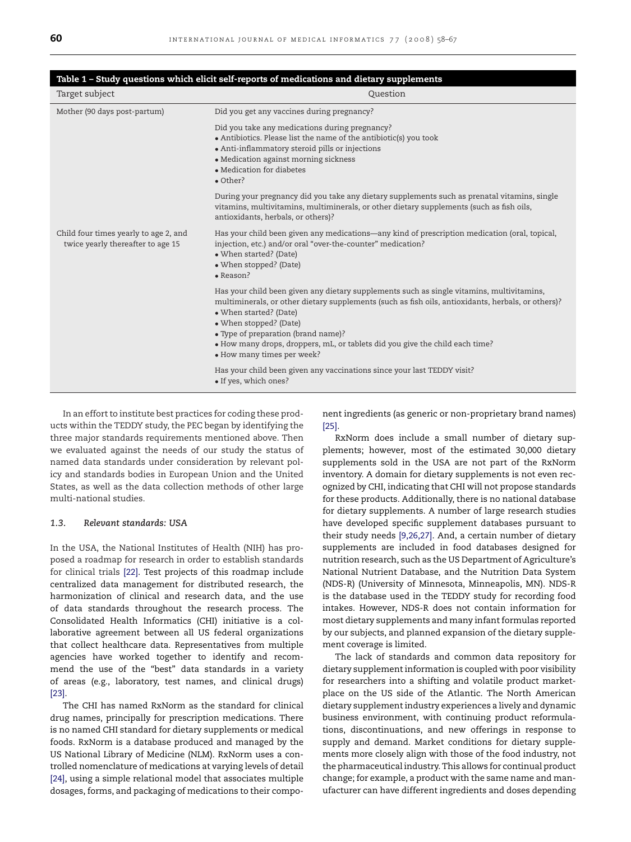<span id="page-2-0"></span>

| Table 1 - Study questions which elicit self-reports of medications and dietary supplements |                                                                                                                                                                                                                                                                                                                                                                                                          |
|--------------------------------------------------------------------------------------------|----------------------------------------------------------------------------------------------------------------------------------------------------------------------------------------------------------------------------------------------------------------------------------------------------------------------------------------------------------------------------------------------------------|
| Target subject                                                                             | Question                                                                                                                                                                                                                                                                                                                                                                                                 |
| Mother (90 days post-partum)                                                               | Did you get any vaccines during pregnancy?                                                                                                                                                                                                                                                                                                                                                               |
|                                                                                            | Did you take any medications during pregnancy?<br>• Antibiotics. Please list the name of the antibiotic(s) you took<br>• Anti-inflammatory steroid pills or injections<br>• Medication against morning sickness<br>• Medication for diabetes<br>• Other?                                                                                                                                                 |
|                                                                                            | During your pregnancy did you take any dietary supplements such as prenatal vitamins, single<br>vitamins, multivitamins, multiminerals, or other dietary supplements (such as fish oils,<br>antioxidants, herbals, or others)?                                                                                                                                                                           |
| Child four times yearly to age 2, and<br>twice yearly thereafter to age 15                 | Has your child been given any medications—any kind of prescription medication (oral, topical,<br>injection, etc.) and/or oral "over-the-counter" medication?<br>• When started? (Date)<br>• When stopped? (Date)<br>$\bullet$ Reason?                                                                                                                                                                    |
|                                                                                            | Has your child been given any dietary supplements such as single vitamins, multivitamins,<br>multiminerals, or other dietary supplements (such as fish oils, antioxidants, herbals, or others)?<br>• When started? (Date)<br>• When stopped? (Date)<br>• Type of preparation (brand name)?<br>• How many drops, droppers, mL, or tablets did you give the child each time?<br>• How many times per week? |
|                                                                                            | Has your child been given any vaccinations since your last TEDDY visit?<br>· If yes, which ones?                                                                                                                                                                                                                                                                                                         |

In an effort to institute best practices for coding these products within the TEDDY study, the PEC began by identifying the three major standards requirements mentioned above. Then we evaluated against the needs of our study the status of named data standards under consideration by relevant policy and standards bodies in European Union and the United States, as well as the data collection methods of other large multi-national studies.

### *1.3. Relevant standards: USA*

In the USA, the National Institutes of Health (NIH) has proposed a roadmap for research in order to establish standards for clinical trials [\[22\].](#page-8-0) Test projects of this roadmap include centralized data management for distributed research, the harmonization of clinical and research data, and the use of data standards throughout the research process. The Consolidated Health Informatics (CHI) initiative is a collaborative agreement between all US federal organizations that collect healthcare data. Representatives from multiple agencies have worked together to identify and recommend the use of the "best" data standards in a variety of areas (e.g., laboratory, test names, and clinical drugs) [\[23\].](#page-8-0)

The CHI has named RxNorm as the standard for clinical drug names, principally for prescription medications. There is no named CHI standard for dietary supplements or medical foods. RxNorm is a database produced and managed by the US National Library of Medicine (NLM). RxNorm uses a controlled nomenclature of medications at varying levels of detail [\[24\], u](#page-8-0)sing a simple relational model that associates multiple dosages, forms, and packaging of medications to their component ingredients (as generic or non-proprietary brand names) [\[25\].](#page-8-0)

RxNorm does include a small number of dietary supplements; however, most of the estimated 30,000 dietary supplements sold in the USA are not part of the RxNorm inventory. A domain for dietary supplements is not even recognized by CHI, indicating that CHI will not propose standards for these products. Additionally, there is no national database for dietary supplements. A number of large research studies have developed specific supplement databases pursuant to their study needs [\[9,26,27\]. A](#page-8-0)nd, a certain number of dietary supplements are included in food databases designed for nutrition research, such as the US Department of Agriculture's National Nutrient Database, and the Nutrition Data System (NDS-R) (University of Minnesota, Minneapolis, MN). NDS-R is the database used in the TEDDY study for recording food intakes. However, NDS-R does not contain information for most dietary supplements and many infant formulas reported by our subjects, and planned expansion of the dietary supplement coverage is limited.

The lack of standards and common data repository for dietary supplement information is coupled with poor visibility for researchers into a shifting and volatile product marketplace on the US side of the Atlantic. The North American dietary supplement industry experiences a lively and dynamic business environment, with continuing product reformulations, discontinuations, and new offerings in response to supply and demand. Market conditions for dietary supplements more closely align with those of the food industry, not the pharmaceutical industry. This allows for continual product change; for example, a product with the same name and manufacturer can have different ingredients and doses depending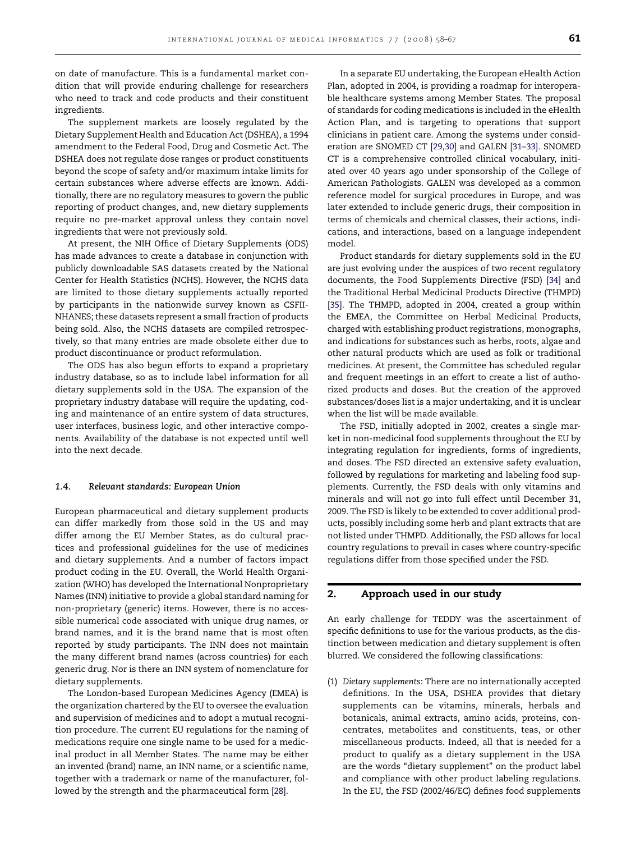on date of manufacture. This is a fundamental market condition that will provide enduring challenge for researchers who need to track and code products and their constituent ingredients.

The supplement markets are loosely regulated by the Dietary Supplement Health and Education Act (DSHEA), a 1994 amendment to the Federal Food, Drug and Cosmetic Act. The DSHEA does not regulate dose ranges or product constituents beyond the scope of safety and/or maximum intake limits for certain substances where adverse effects are known. Additionally, there are no regulatory measures to govern the public reporting of product changes, and, new dietary supplements require no pre-market approval unless they contain novel ingredients that were not previously sold.

At present, the NIH Office of Dietary Supplements (ODS) has made advances to create a database in conjunction with publicly downloadable SAS datasets created by the National Center for Health Statistics (NCHS). However, the NCHS data are limited to those dietary supplements actually reported by participants in the nationwide survey known as CSFII-NHANES; these datasets represent a small fraction of products being sold. Also, the NCHS datasets are compiled retrospectively, so that many entries are made obsolete either due to product discontinuance or product reformulation.

The ODS has also begun efforts to expand a proprietary industry database, so as to include label information for all dietary supplements sold in the USA. The expansion of the proprietary industry database will require the updating, coding and maintenance of an entire system of data structures, user interfaces, business logic, and other interactive components. Availability of the database is not expected until well into the next decade.

#### *1.4. Relevant standards: European Union*

European pharmaceutical and dietary supplement products can differ markedly from those sold in the US and may differ among the EU Member States, as do cultural practices and professional guidelines for the use of medicines and dietary supplements. And a number of factors impact product coding in the EU. Overall, the World Health Organization (WHO) has developed the International Nonproprietary Names (INN) initiative to provide a global standard naming for non-proprietary (generic) items. However, there is no accessible numerical code associated with unique drug names, or brand names, and it is the brand name that is most often reported by study participants. The INN does not maintain the many different brand names (across countries) for each generic drug. Nor is there an INN system of nomenclature for dietary supplements.

The London-based European Medicines Agency (EMEA) is the organization chartered by the EU to oversee the evaluation and supervision of medicines and to adopt a mutual recognition procedure. The current EU regulations for the naming of medications require one single name to be used for a medicinal product in all Member States. The name may be either an invented (brand) name, an INN name, or a scientific name, together with a trademark or name of the manufacturer, followed by the strength and the pharmaceutical form [\[28\].](#page-8-0)

In a separate EU undertaking, the European eHealth Action Plan, adopted in 2004, is providing a roadmap for interoperable healthcare systems among Member States. The proposal of standards for coding medications is included in the eHealth Action Plan, and is targeting to operations that support clinicians in patient care. Among the systems under consideration are SNOMED CT [\[29,30\]](#page-8-0) and GALEN [\[31–33\]. S](#page-8-0)NOMED CT is a comprehensive controlled clinical vocabulary, initiated over 40 years ago under sponsorship of the College of American Pathologists. GALEN was developed as a common reference model for surgical procedures in Europe, and was later extended to include generic drugs, their composition in terms of chemicals and chemical classes, their actions, indications, and interactions, based on a language independent model.

Product standards for dietary supplements sold in the EU are just evolving under the auspices of two recent regulatory documents, the Food Supplements Directive (FSD) [\[34\]](#page-9-0) and the Traditional Herbal Medicinal Products Directive (THMPD) [\[35\].](#page-9-0) The THMPD, adopted in 2004, created a group within the EMEA, the Committee on Herbal Medicinal Products, charged with establishing product registrations, monographs, and indications for substances such as herbs, roots, algae and other natural products which are used as folk or traditional medicines. At present, the Committee has scheduled regular and frequent meetings in an effort to create a list of authorized products and doses. But the creation of the approved substances/doses list is a major undertaking, and it is unclear when the list will be made available.

The FSD, initially adopted in 2002, creates a single market in non-medicinal food supplements throughout the EU by integrating regulation for ingredients, forms of ingredients, and doses. The FSD directed an extensive safety evaluation, followed by regulations for marketing and labeling food supplements. Currently, the FSD deals with only vitamins and minerals and will not go into full effect until December 31, 2009. The FSD is likely to be extended to cover additional products, possibly including some herb and plant extracts that are not listed under THMPD. Additionally, the FSD allows for local country regulations to prevail in cases where country-specific regulations differ from those specified under the FSD.

#### **2. Approach used in our study**

An early challenge for TEDDY was the ascertainment of specific definitions to use for the various products, as the distinction between medication and dietary supplement is often blurred. We considered the following classifications:

(1) *Dietary supplements*: There are no internationally accepted definitions. In the USA, DSHEA provides that dietary supplements can be vitamins, minerals, herbals and botanicals, animal extracts, amino acids, proteins, concentrates, metabolites and constituents, teas, or other miscellaneous products. Indeed, all that is needed for a product to qualify as a dietary supplement in the USA are the words "dietary supplement" on the product label and compliance with other product labeling regulations. In the EU, the FSD (2002/46/EC) defines food supplements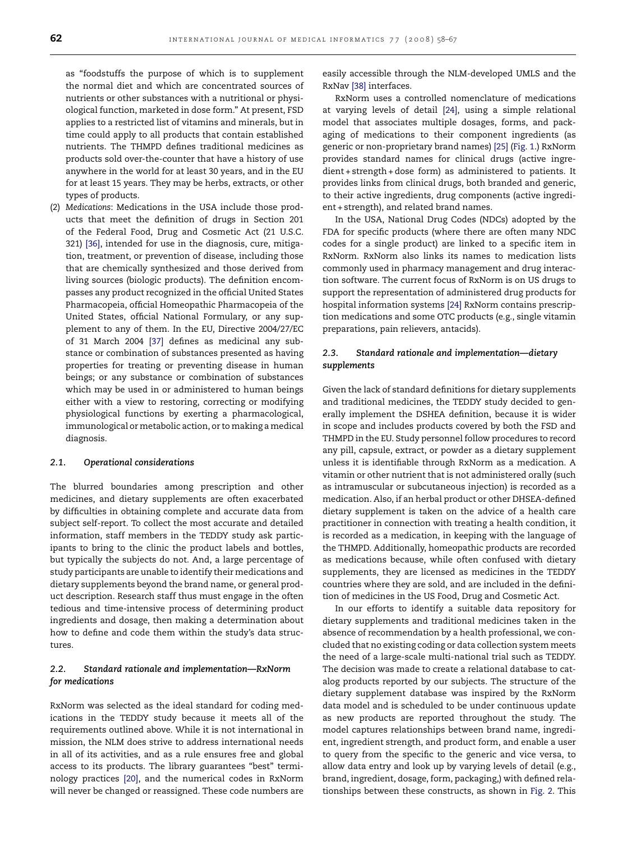as "foodstuffs the purpose of which is to supplement the normal diet and which are concentrated sources of nutrients or other substances with a nutritional or physiological function, marketed in dose form." At present, FSD applies to a restricted list of vitamins and minerals, but in time could apply to all products that contain established nutrients. The THMPD defines traditional medicines as products sold over-the-counter that have a history of use anywhere in the world for at least 30 years, and in the EU for at least 15 years. They may be herbs, extracts, or other types of products.

(2) *Medications*: Medications in the USA include those products that meet the definition of drugs in Section 201 of the Federal Food, Drug and Cosmetic Act (21 U.S.C. 321) [\[36\],](#page-9-0) intended for use in the diagnosis, cure, mitigation, treatment, or prevention of disease, including those that are chemically synthesized and those derived from living sources (biologic products). The definition encompasses any product recognized in the official United States Pharmacopeia, official Homeopathic Pharmacopeia of the United States, official National Formulary, or any supplement to any of them. In the EU, Directive 2004/27/EC of 31 March 2004 [\[37\]](#page-9-0) defines as medicinal any substance or combination of substances presented as having properties for treating or preventing disease in human beings; or any substance or combination of substances which may be used in or administered to human beings either with a view to restoring, correcting or modifying physiological functions by exerting a pharmacological, immunological or metabolic action, or to making a medical diagnosis.

#### *2.1. Operational considerations*

The blurred boundaries among prescription and other medicines, and dietary supplements are often exacerbated by difficulties in obtaining complete and accurate data from subject self-report. To collect the most accurate and detailed information, staff members in the TEDDY study ask participants to bring to the clinic the product labels and bottles, but typically the subjects do not. And, a large percentage of study participants are unable to identify their medications and dietary supplements beyond the brand name, or general product description. Research staff thus must engage in the often tedious and time-intensive process of determining product ingredients and dosage, then making a determination about how to define and code them within the study's data structures.

## *2.2. Standard rationale and implementation—RxNorm for medications*

RxNorm was selected as the ideal standard for coding medications in the TEDDY study because it meets all of the requirements outlined above. While it is not international in mission, the NLM does strive to address international needs in all of its activities, and as a rule ensures free and global access to its products. The library guarantees "best" terminology practices [\[20\],](#page-8-0) and the numerical codes in RxNorm will never be changed or reassigned. These code numbers are easily accessible through the NLM-developed UMLS and the RxNav [\[38\]](#page-9-0) interfaces.

RxNorm uses a controlled nomenclature of medications at varying levels of detail [\[24\],](#page-8-0) using a simple relational model that associates multiple dosages, forms, and packaging of medications to their component ingredients (as generic or non-proprietary brand names) [\[25\]](#page-8-0) [\(Fig. 1.\)](#page-5-0) RxNorm provides standard names for clinical drugs (active ingredient + strength + dose form) as administered to patients. It provides links from clinical drugs, both branded and generic, to their active ingredients, drug components (active ingredient + strength), and related brand names.

In the USA, National Drug Codes (NDCs) adopted by the FDA for specific products (where there are often many NDC codes for a single product) are linked to a specific item in RxNorm. RxNorm also links its names to medication lists commonly used in pharmacy management and drug interaction software. The current focus of RxNorm is on US drugs to support the representation of administered drug products for hospital information systems [\[24\]](#page-8-0) RxNorm contains prescription medications and some OTC products (e.g., single vitamin preparations, pain relievers, antacids).

## *2.3. Standard rationale and implementation—dietary supplements*

Given the lack of standard definitions for dietary supplements and traditional medicines, the TEDDY study decided to generally implement the DSHEA definition, because it is wider in scope and includes products covered by both the FSD and THMPD in the EU. Study personnel follow procedures to record any pill, capsule, extract, or powder as a dietary supplement unless it is identifiable through RxNorm as a medication. A vitamin or other nutrient that is not administered orally (such as intramuscular or subcutaneous injection) is recorded as a medication. Also, if an herbal product or other DHSEA-defined dietary supplement is taken on the advice of a health care practitioner in connection with treating a health condition, it is recorded as a medication, in keeping with the language of the THMPD. Additionally, homeopathic products are recorded as medications because, while often confused with dietary supplements, they are licensed as medicines in the TEDDY countries where they are sold, and are included in the definition of medicines in the US Food, Drug and Cosmetic Act.

In our efforts to identify a suitable data repository for dietary supplements and traditional medicines taken in the absence of recommendation by a health professional, we concluded that no existing coding or data collection system meets the need of a large-scale multi-national trial such as TEDDY. The decision was made to create a relational database to catalog products reported by our subjects. The structure of the dietary supplement database was inspired by the RxNorm data model and is scheduled to be under continuous update as new products are reported throughout the study. The model captures relationships between brand name, ingredient, ingredient strength, and product form, and enable a user to query from the specific to the generic and vice versa, to allow data entry and look up by varying levels of detail (e.g., brand, ingredient, dosage, form, packaging,) with defined relationships between these constructs, as shown in [Fig. 2.](#page-5-0) This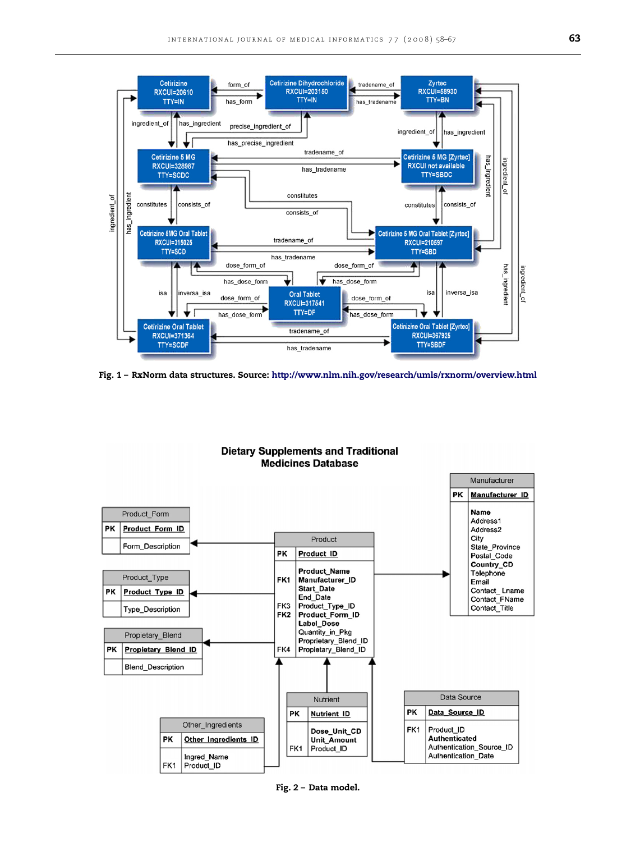<span id="page-5-0"></span>

**Fig. 1 – RxNorm data structures. Source: <http://www.nlm.nih.gov/research/umls/rxnorm/overview.html>**



**Fig. 2 – Data model.**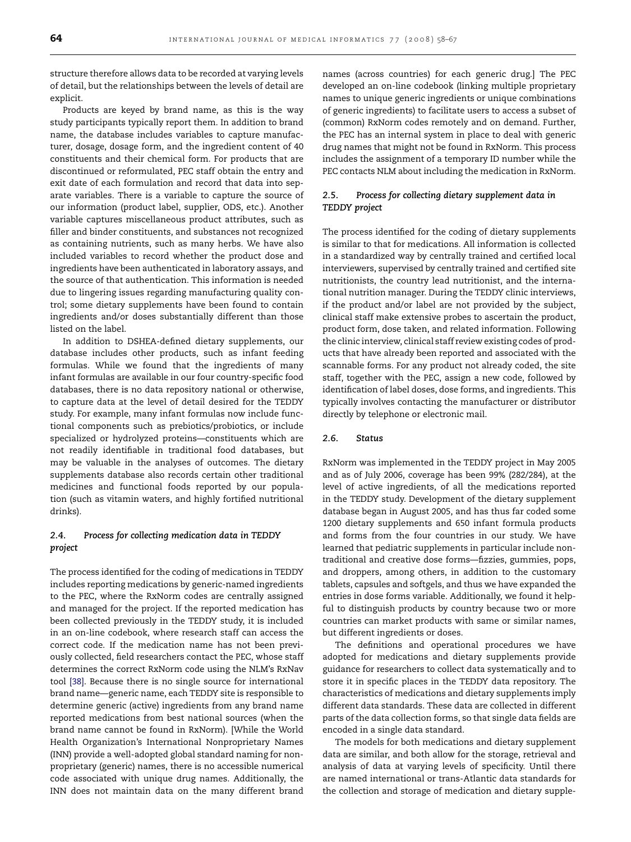structure therefore allows data to be recorded at varying levels of detail, but the relationships between the levels of detail are explicit.

Products are keyed by brand name, as this is the way study participants typically report them. In addition to brand name, the database includes variables to capture manufacturer, dosage, dosage form, and the ingredient content of 40 constituents and their chemical form. For products that are discontinued or reformulated, PEC staff obtain the entry and exit date of each formulation and record that data into separate variables. There is a variable to capture the source of our information (product label, supplier, ODS, etc.). Another variable captures miscellaneous product attributes, such as filler and binder constituents, and substances not recognized as containing nutrients, such as many herbs. We have also included variables to record whether the product dose and ingredients have been authenticated in laboratory assays, and the source of that authentication. This information is needed due to lingering issues regarding manufacturing quality control; some dietary supplements have been found to contain ingredients and/or doses substantially different than those listed on the label.

In addition to DSHEA-defined dietary supplements, our database includes other products, such as infant feeding formulas. While we found that the ingredients of many infant formulas are available in our four country-specific food databases, there is no data repository national or otherwise, to capture data at the level of detail desired for the TEDDY study. For example, many infant formulas now include functional components such as prebiotics/probiotics, or include specialized or hydrolyzed proteins—constituents which are not readily identifiable in traditional food databases, but may be valuable in the analyses of outcomes. The dietary supplements database also records certain other traditional medicines and functional foods reported by our population (such as vitamin waters, and highly fortified nutritional drinks).

## *2.4. Process for collecting medication data in TEDDY project*

The process identified for the coding of medications in TEDDY includes reporting medications by generic-named ingredients to the PEC, where the RxNorm codes are centrally assigned and managed for the project. If the reported medication has been collected previously in the TEDDY study, it is included in an on-line codebook, where research staff can access the correct code. If the medication name has not been previously collected, field researchers contact the PEC, whose staff determines the correct RxNorm code using the NLM's RxNav tool [\[38\].](#page-9-0) Because there is no single source for international brand name—generic name, each TEDDY site is responsible to determine generic (active) ingredients from any brand name reported medications from best national sources (when the brand name cannot be found in RxNorm). [While the World Health Organization's International Nonproprietary Names (INN) provide a well-adopted global standard naming for nonproprietary (generic) names, there is no accessible numerical code associated with unique drug names. Additionally, the INN does not maintain data on the many different brand

names (across countries) for each generic drug.] The PEC developed an on-line codebook (linking multiple proprietary names to unique generic ingredients or unique combinations of generic ingredients) to facilitate users to access a subset of (common) RxNorm codes remotely and on demand. Further, the PEC has an internal system in place to deal with generic drug names that might not be found in RxNorm. This process includes the assignment of a temporary ID number while the PEC contacts NLM about including the medication in RxNorm.

#### *2.5. Process for collecting dietary supplement data in TEDDY project*

The process identified for the coding of dietary supplements is similar to that for medications. All information is collected in a standardized way by centrally trained and certified local interviewers, supervised by centrally trained and certified site nutritionists, the country lead nutritionist, and the international nutrition manager. During the TEDDY clinic interviews, if the product and/or label are not provided by the subject, clinical staff make extensive probes to ascertain the product, product form, dose taken, and related information. Following the clinic interview, clinical staff review existing codes of products that have already been reported and associated with the scannable forms. For any product not already coded, the site staff, together with the PEC, assign a new code, followed by identification of label doses, dose forms, and ingredients. This typically involves contacting the manufacturer or distributor directly by telephone or electronic mail.

#### *2.6. Status*

RxNorm was implemented in the TEDDY project in May 2005 and as of July 2006, coverage has been 99% (282/284), at the level of active ingredients, of all the medications reported in the TEDDY study. Development of the dietary supplement database began in August 2005, and has thus far coded some 1200 dietary supplements and 650 infant formula products and forms from the four countries in our study. We have learned that pediatric supplements in particular include nontraditional and creative dose forms—fizzies, gummies, pops, and droppers, among others, in addition to the customary tablets, capsules and softgels, and thus we have expanded the entries in dose forms variable. Additionally, we found it helpful to distinguish products by country because two or more countries can market products with same or similar names, but different ingredients or doses.

The definitions and operational procedures we have adopted for medications and dietary supplements provide guidance for researchers to collect data systematically and to store it in specific places in the TEDDY data repository. The characteristics of medications and dietary supplements imply different data standards. These data are collected in different parts of the data collection forms, so that single data fields are encoded in a single data standard.

The models for both medications and dietary supplement data are similar, and both allow for the storage, retrieval and analysis of data at varying levels of specificity. Until there are named international or trans-Atlantic data standards for the collection and storage of medication and dietary supple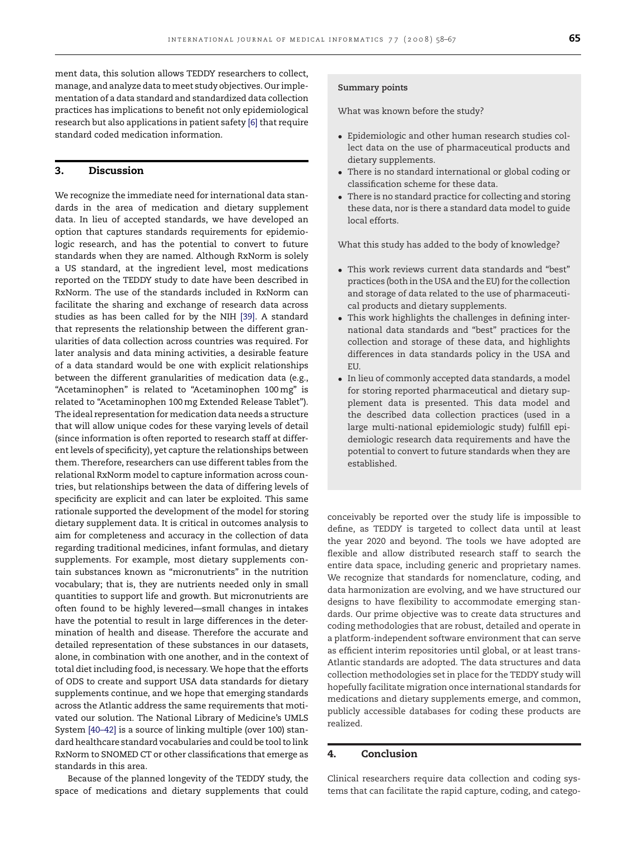ment data, this solution allows TEDDY researchers to collect, manage, and analyze data to meet study objectives. Our implementation of a data standard and standardized data collection practices has implications to benefit not only epidemiological research but also applications in patient safety [\[6\]](#page-8-0) that require standard coded medication information.

### **3. Discussion**

We recognize the immediate need for international data standards in the area of medication and dietary supplement data. In lieu of accepted standards, we have developed an option that captures standards requirements for epidemiologic research, and has the potential to convert to future standards when they are named. Although RxNorm is solely a US standard, at the ingredient level, most medications reported on the TEDDY study to date have been described in RxNorm. The use of the standards included in RxNorm can facilitate the sharing and exchange of research data across studies as has been called for by the NIH [\[39\].](#page-9-0) A standard that represents the relationship between the different granularities of data collection across countries was required. For later analysis and data mining activities, a desirable feature of a data standard would be one with explicit relationships between the different granularities of medication data (e.g., "Acetaminophen" is related to "Acetaminophen 100mg" is related to "Acetaminophen 100mg Extended Release Tablet"). The ideal representation for medication data needs a structure that will allow unique codes for these varying levels of detail (since information is often reported to research staff at different levels of specificity), yet capture the relationships between them. Therefore, researchers can use different tables from the relational RxNorm model to capture information across countries, but relationships between the data of differing levels of specificity are explicit and can later be exploited. This same rationale supported the development of the model for storing dietary supplement data. It is critical in outcomes analysis to aim for completeness and accuracy in the collection of data regarding traditional medicines, infant formulas, and dietary supplements. For example, most dietary supplements contain substances known as "micronutrients" in the nutrition vocabulary; that is, they are nutrients needed only in small quantities to support life and growth. But micronutrients are often found to be highly levered—small changes in intakes have the potential to result in large differences in the determination of health and disease. Therefore the accurate and detailed representation of these substances in our datasets, alone, in combination with one another, and in the context of total diet including food, is necessary. We hope that the efforts of ODS to create and support USA data standards for dietary supplements continue, and we hope that emerging standards across the Atlantic address the same requirements that motivated our solution. The National Library of Medicine's UMLS System [\[40–42\]](#page-9-0) is a source of linking multiple (over 100) standard healthcare standard vocabularies and could be tool to link RxNorm to SNOMED CT or other classifications that emerge as standards in this area.

Because of the planned longevity of the TEDDY study, the space of medications and dietary supplements that could

#### **Summary points**

What was known before the study?

- Epidemiologic and other human research studies collect data on the use of pharmaceutical products and dietary supplements.
- There is no standard international or global coding or classification scheme for these data.
- There is no standard practice for collecting and storing these data, nor is there a standard data model to guide local efforts.

What this study has added to the body of knowledge?

- This work reviews current data standards and "best" practices (both in the USA and the EU) for the collection and storage of data related to the use of pharmaceutical products and dietary supplements.
- This work highlights the challenges in defining international data standards and "best" practices for the collection and storage of these data, and highlights differences in data standards policy in the USA and EU.
- In lieu of commonly accepted data standards, a model for storing reported pharmaceutical and dietary supplement data is presented. This data model and the described data collection practices (used in a large multi-national epidemiologic study) fulfill epidemiologic research data requirements and have the potential to convert to future standards when they are established.

conceivably be reported over the study life is impossible to define, as TEDDY is targeted to collect data until at least the year 2020 and beyond. The tools we have adopted are flexible and allow distributed research staff to search the entire data space, including generic and proprietary names. We recognize that standards for nomenclature, coding, and data harmonization are evolving, and we have structured our designs to have flexibility to accommodate emerging standards. Our prime objective was to create data structures and coding methodologies that are robust, detailed and operate in a platform-independent software environment that can serve as efficient interim repositories until global, or at least trans-Atlantic standards are adopted. The data structures and data collection methodologies set in place for the TEDDY study will hopefully facilitate migration once international standards for medications and dietary supplements emerge, and common, publicly accessible databases for coding these products are realized.

## **4. Conclusion**

Clinical researchers require data collection and coding systems that can facilitate the rapid capture, coding, and catego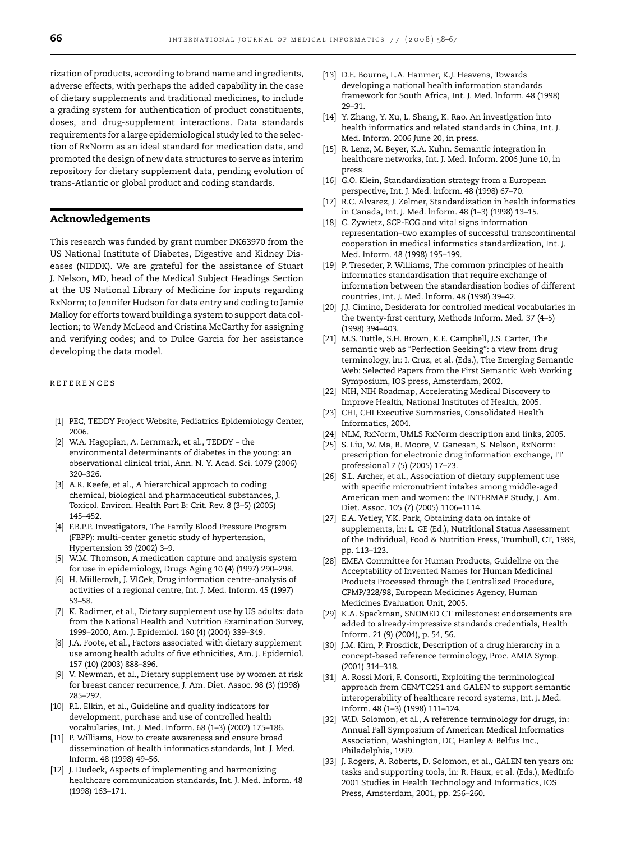<span id="page-8-0"></span>rization of products, according to brand name and ingredients, adverse effects, with perhaps the added capability in the case of dietary supplements and traditional medicines, to include a grading system for authentication of product constituents, doses, and drug-supplement interactions. Data standards requirements for a large epidemiological study led to the selection of RxNorm as an ideal standard for medication data, and promoted the design of new data structures to serve as interim repository for dietary supplement data, pending evolution of trans-Atlantic or global product and coding standards.

#### **Acknowledgements**

This research was funded by grant number DK63970 from the US National Institute of Diabetes, Digestive and Kidney Diseases (NIDDK). We are grateful for the assistance of Stuart J. Nelson, MD, head of the Medical Subject Headings Section at the US National Library of Medicine for inputs regarding RxNorm; to Jennifer Hudson for data entry and coding to Jamie Malloy for efforts toward building a system to support data collection; to Wendy McLeod and Cristina McCarthy for assigning and verifying codes; and to Dulce Garcia for her assistance developing the data model.

#### references

- [1] PEC, TEDDY Project Website, Pediatrics Epidemiology Center, 2006.
- [2] W.A. Hagopian, A. Lernmark, et al., TEDDY the environmental determinants of diabetes in the young: an observational clinical trial, Ann. N. Y. Acad. Sci. 1079 (2006) 320–326.
- [3] A.R. Keefe, et al., A hierarchical approach to coding chemical, biological and pharmaceutical substances, J. Toxicol. Environ. Health Part B: Crit. Rev. 8 (3–5) (2005) 145–452.
- [4] F.B.P.P. Investigators, The Family Blood Pressure Program (FBPP): multi-center genetic study of hypertension, Hypertension 39 (2002) 3–9.
- [5] W.M. Thomson, A medication capture and analysis system for use in epidemiology, Drugs Aging 10 (4) (1997) 290–298.
- [6] H. Miillerovh, J. VlCek, Drug information centre-analysis of activities of a regional centre, Int. J. Med. lnform. 45 (1997) 53–58.
- [7] K. Radimer, et al., Dietary supplement use by US adults: data from the National Health and Nutrition Examination Survey, 1999–2000, Am. J. Epidemiol. 160 (4) (2004) 339–349.
- [8] J.A. Foote, et al., Factors associated with dietary supplement use among health adults of five ethnicities, Am. J. Epidemiol. 157 (10) (2003) 888–896.
- [9] V. Newman, et al., Dietary supplement use by women at risk for breast cancer recurrence, J. Am. Diet. Assoc. 98 (3) (1998) 285–292.
- [10] P.L. Elkin, et al., Guideline and quality indicators for development, purchase and use of controlled health vocabularies, Int. J. Med. Inform. 68 (1–3) (2002) 175–186.
- [11] P. Williams, How to create awareness and ensure broad dissemination of health informatics standards, Int. J. Med. lnform. 48 (1998) 49–56.
- [12] J. Dudeck, Aspects of implementing and harmonizing healthcare communication standards, Int. J. Med. lnform. 48 (1998) 163–171.
- [13] D.E. Bourne, L.A. Hanmer, K.J. Heavens, Towards developing a national health information standards framework for South Africa, Int. J. Med. lnform. 48 (1998) 29–31.
- [14] Y. Zhang, Y. Xu, L. Shang, K. Rao. An investigation into health informatics and related standards in China, Int. J. Med. Inform. 2006 June 20, in press.
- [15] R. Lenz, M. Beyer, K.A. Kuhn. Semantic integration in healthcare networks, Int. J. Med. Inform. 2006 June 10, in press.
- [16] G.O. Klein, Standardization strategy from a European perspective, Int. J. Med. lnform. 48 (1998) 67–70.
- [17] R.C. Alvarez, J. Zelmer, Standardization in health informatics in Canada, Int. J. Med. lnform. 48 (1–3) (1998) 13–15.
- [18] C. Zywietz, SCP-ECG and vital signs information representation–two examples of successful transcontinental cooperation in medical informatics standardization, Int. J. Med. lnform. 48 (1998) 195–199.
- [19] P. Treseder, P. Williams, The common principles of health informatics standardisation that require exchange of information between the standardisation bodies of different countries, Int. J. Med. lnform. 48 (1998) 39–42.
- [20] J.J. Cimino, Desiderata for controlled medical vocabularies in the twenty-first century, Methods Inform. Med. 37 (4–5) (1998) 394–403.
- [21] M.S. Tuttle, S.H. Brown, K.E. Campbell, J.S. Carter, The semantic web as "Perfection Seeking": a view from drug terminology, in: I. Cruz, et al. (Eds.), The Emerging Semantic Web: Selected Papers from the First Semantic Web Working Symposium, IOS press, Amsterdam, 2002.
- [22] NIH, NIH Roadmap, Accelerating Medical Discovery to Improve Health, National Institutes of Health, 2005.
- [23] CHI, CHI Executive Summaries, Consolidated Health Informatics, 2004.
- [24] NLM, RxNorm, UMLS RxNorm description and links, 2005.
- [25] S. Liu, W. Ma, R. Moore, V. Ganesan, S. Nelson, RxNorm: prescription for electronic drug information exchange, IT professional 7 (5) (2005) 17–23.
- [26] S.L. Archer, et al., Association of dietary supplement use with specific micronutrient intakes among middle-aged American men and women: the INTERMAP Study, J. Am. Diet. Assoc. 105 (7) (2005) 1106–1114.
- [27] E.A. Yetley, Y.K. Park, Obtaining data on intake of supplements, in: L. GE (Ed.), Nutritional Status Assessment of the Individual, Food & Nutrition Press, Trumbull, CT, 1989, pp. 113–123.
- [28] EMEA Committee for Human Products, Guideline on the Acceptability of Invented Names for Human Medicinal Products Processed through the Centralized Procedure, CPMP/328/98, European Medicines Agency, Human Medicines Evaluation Unit, 2005.
- [29] K.A. Spackman, SNOMED CT milestones: endorsements are added to already-impressive standards credentials, Health Inform. 21 (9) (2004), p. 54, 56.
- [30] J.M. Kim, P. Frosdick, Description of a drug hierarchy in a concept-based reference terminology, Proc. AMIA Symp. (2001) 314–318.
- [31] A. Rossi Mori, F. Consorti, Exploiting the terminological approach from CEN/TC251 and GALEN to support semantic interoperability of healthcare record systems, Int. J. Med. Inform. 48 (1–3) (1998) 111–124.
- [32] W.D. Solomon, et al., A reference terminology for drugs, in: Annual Fall Symposium of American Medical Informatics Association, Washington, DC, Hanley & Belfus Inc., Philadelphia, 1999.
- [33] J. Rogers, A. Roberts, D. Solomon, et al., GALEN ten years on: tasks and supporting tools, in: R. Haux, et al. (Eds.), MedInfo 2001 Studies in Health Technology and Informatics, IOS Press, Amsterdam, 2001, pp. 256–260.